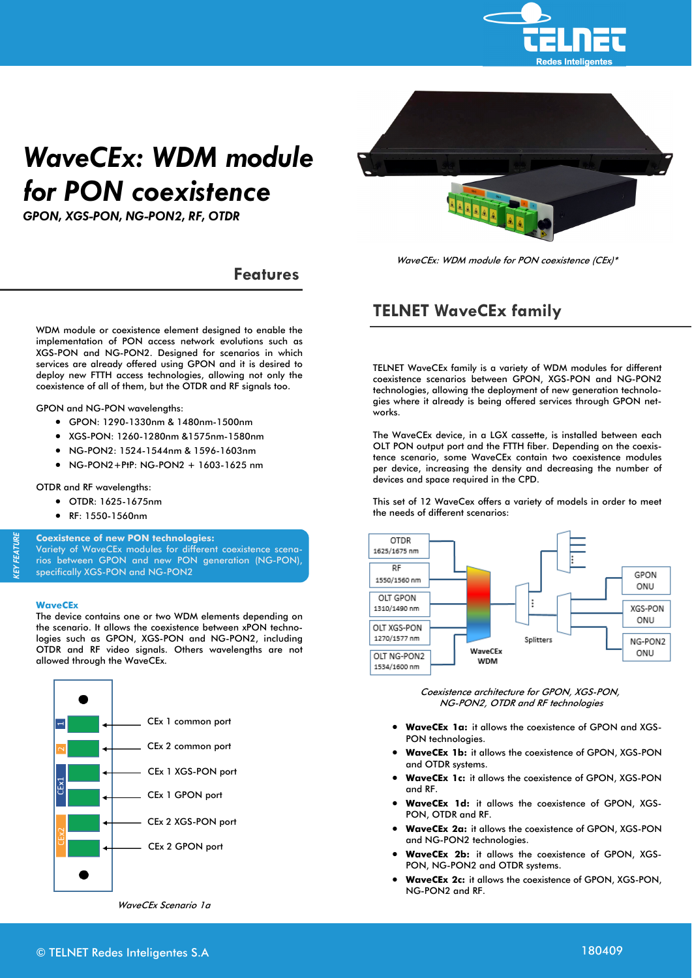

# *WaveCEx: WDM module for PON coexistence*

*GPON, XGS-PON, NG-PON2, RF, OTDR*



**Features** 

WDM module or coexistence element designed to enable the implementation of PON access network evolutions such as XGS-PON and NG-PON2. Designed for scenarios in which services are already offered using GPON and it is desired to deploy new FTTH access technologies, allowing not only the coexistence of all of them, but the OTDR and RF signals too.

GPON and NG-PON wavelengths:

- GPON: 1290-1330nm & 1480nm-1500nm
- XGS-PON: 1260-1280nm &1575nm-1580nm
- NG-PON2: 1524-1544nm & 1596-1603nm
- NG-PON2+PtP: NG-PON2 + 1603-1625 nm

OTDR and RF wavelengths:

- OTDR: 1625-1675nm
- RF: 1550-1560nm

**Coexistence of new PON technologies:** 

Variety of WaveCEx modules for different coexistence scenarios between GPON and new PON generation (NG-PON), specifically XGS-PON and NG-PON2

#### **WaveCEx**

*KEY FEATURE* 

**CEY FEATURI** 

The device contains one or two WDM elements depending on the scenario. It allows the coexistence between xPON technologies such as GPON, XGS-PON and NG-PON2, including OTDR and RF video signals. Others wavelengths are not allowed through the WaveCEx.



WaveCEx Scenario 1a

**TELNET WaveCEx family** 

TELNET WaveCEx family is a variety of WDM modules for different coexistence scenarios between GPON, XGS-PON and NG-PON2 technologies, allowing the deployment of new generation technologies where it already is being offered services through GPON networks.

The WaveCEx device, in a LGX cassette, is installed between each OLT PON output port and the FTTH fiber. Depending on the coexistence scenario, some WaveCEx contain two coexistence modules per device, increasing the density and decreasing the number of devices and space required in the CPD.

This set of 12 WaveCex offers a variety of models in order to meet the needs of different scenarios:



Coexistence architecture for GPON, XGS-PON, NG-PON2, OTDR and RF technologies

- **WaveCEx 1a:** it allows the coexistence of GPON and XGS-PON technologies.
- **WaveCEx 1b:** it allows the coexistence of GPON, XGS-PON and OTDR systems.
- **WaveCEx 1c:** it allows the coexistence of GPON, XGS-PON and RF.
- **WaveCEx 1d:** it allows the coexistence of GPON, XGS-PON, OTDR and RF.
- **WaveCEx 2a:** it allows the coexistence of GPON, XGS-PON and NG-PON2 technologies.
- **WaveCEx 2b:** it allows the coexistence of GPON, XGS-PON, NG-PON2 and OTDR systems.
- **WaveCEx 2c:** it allows the coexistence of GPON, XGS-PON, NG-PON2 and RF.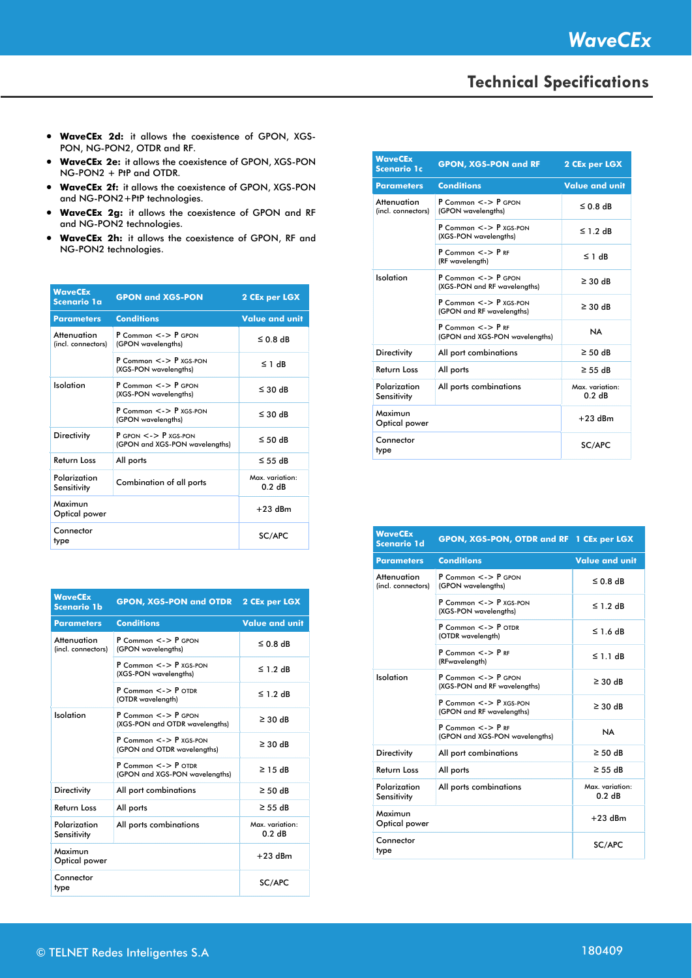- **WaveCEx 2d:** it allows the coexistence of GPON, XGS-PON, NG-PON2, OTDR and RF.
- **WaveCEx 2e:** it allows the coexistence of GPON, XGS-PON NG-PON2 + PtP and OTDR.
- **WaveCEx 2f:** it allows the coexistence of GPON, XGS-PON and NG-PON2+PtP technologies.
- **WaveCEx 2g:** it allows the coexistence of GPON and RF and NG-PON2 technologies.
- **WaveCEx 2h:** it allows the coexistence of GPON, RF and NG-PON2 technologies.

| <b>WaveCEx</b><br>Scenario 1a     | <b>GPON and XGS-PON</b>                                            | 2 CEx per LGX             |
|-----------------------------------|--------------------------------------------------------------------|---------------------------|
| <b>Parameters</b>                 | <b>Conditions</b>                                                  | <b>Value and unit</b>     |
| Attenuation<br>(incl. connectors) | $P$ Common $\lt$ - $\gt$ $P$ GPON<br>(GPON wavelengths)            | $\leq$ 0.8 dB             |
|                                   | $P$ Common $\lt$ - $\gt$ $P$ xGS-PON<br>(XGS-PON wavelengths)      | ≤ 1 dB                    |
| Isolation                         | $P$ Common $\lt$ - $>$ $P$ GPON<br>(XGS-PON wavelengths)           | $\leq$ 30 dB              |
|                                   | $P$ Common $\lt$ - $\gt$ P xGS-PON<br>(GPON wavelengths)           | $\leq$ 30 dB              |
| <b>Directivity</b>                | $P$ GPON $\lt$ - $>$ $P$ xGS-PON<br>(GPON and XGS-PON wavelengths) | $\leq$ 50 dB              |
| <b>Return Loss</b>                | All ports                                                          | $\leq$ 55 dB              |
| Polarization<br>Sensitivity       | <b>Combination of all ports</b>                                    | Max. variation:<br>0 2 dB |
| Maximun<br>Optical power          |                                                                    | $+23$ dBm                 |
| Connector<br>type                 |                                                                    | SC/APC                    |

| <b>WaveCEx</b><br><b>Scenario 1b</b> | <b>GPON, XGS-PON and OTDR 2 CEx per LGX</b>                          |                           |
|--------------------------------------|----------------------------------------------------------------------|---------------------------|
| <b>Parameters</b>                    | <b>Conditions</b>                                                    | <b>Value and unit</b>     |
| Attenuation<br>(incl. connectors)    | $P$ Common $\lt$ - $\gt$ $P$ GPON<br>(GPON wavelengths)              | $50.8$ dB                 |
|                                      | $P_{\text{Common}} \leq P_{\text{XGS-PON}}$<br>(XGS-PON wavelenaths) | $\leq$ 1.2 dB             |
|                                      | $P$ Common $\lt$ - $>$ $P$ OTDR<br>(OTDR wavelength)                 | $\leq$ 1 2 dB             |
| Isolation                            | $P$ Common $\lt$ - $>$ $P$ GPON<br>(XGS-PON and OTDR wavelengths)    | $\geq$ 30 dB              |
|                                      | $P$ Common $\lt$ - $>$ $P$ xGS-PON<br>(GPON and OTDR wavelengths)    | $\geq$ 30 dB              |
|                                      | $P$ Common $\lt$ - $>$ $P$ OTDR<br>(GPON and XGS-PON wavelengths)    | $\geq$ 15 dB              |
| <b>Directivity</b>                   | All port combinations                                                | $\geq$ 50 dB              |
| Return Loss                          | All ports                                                            | $\geq$ 55 dB              |
| Polarization<br>Sensitivity          | All ports combinations                                               | Max. variation:<br>0 2 dB |
| Maximun<br>Optical power             |                                                                      | $+23$ dBm                 |
| Connector<br>type                    |                                                                      | SC/APC                    |

| <b>WaveCEx</b><br><b>Scenario 1c</b> | <b>GPON, XGS-PON and RF</b>                                       | 2 CEx per LGX             |
|--------------------------------------|-------------------------------------------------------------------|---------------------------|
| <b>Parameters</b>                    | <b>Conditions</b>                                                 | <b>Value and unit</b>     |
| Attenuation<br>(incl. connectors)    | $P_{\text{Common}} \leq 5$ P GPON<br>(GPON wavelenaths)           | $\leq$ 0 8 dB             |
|                                      | $P$ Common $\lt$ - $\gt$ $P$ xGS-PON<br>(XGS-PON wavelengths)     | $\leq$ 1 2 dB             |
|                                      | $P$ Common $\lt$ - $\gt$ $P$ RF<br>(RF wavelenath)                | $\leq$ 1 dB               |
| Isolation                            | $P$ Common $\lt$ - $\gt$ $P$ GPON<br>(XGS-PON and RF wavelengths) | $\geq$ 30 dB              |
|                                      | $P$ Common $\lt$ - $\gt$ $P$ xGS-PON<br>(GPON and RF wavelengths) | $\geq$ 30 dB              |
|                                      | $P$ Common $\lt$ - $\gt$ $P$ RF<br>(GPON and XGS-PON wavelengths) | <b>NA</b>                 |
| <b>Directivity</b>                   | All port combinations                                             | $\geq$ 50 dB              |
| <b>Return Loss</b>                   | All ports                                                         | $\geq$ 55 dB              |
| Polarization<br>Sensitivity          | All ports combinations                                            | Max. variation:<br>0.2 dB |
| Maximun<br>Optical power             |                                                                   | $+23$ dBm                 |
| Connector<br>type                    |                                                                   | SC/APC                    |

| <b>WaveCEx</b><br><b>Scenario 1d</b> | GPON, XGS-PON, OTDR and RF 1 CEx per LGX                           |                           |
|--------------------------------------|--------------------------------------------------------------------|---------------------------|
| <b>Parameters</b>                    | <b>Conditions</b>                                                  | <b>Value and unit</b>     |
| Attenuation<br>(incl. connectors)    | $P$ Common $\lt$ - $\gt$ $P$ GPON<br>(GPON wavelengths)            | $50.8$ dB                 |
|                                      | $P$ Common $\lt$ - $\gt$ $P$ xGS-PON<br>(XGS-PON wavelengths)      | $\leq$ 1 2 dB             |
|                                      | $P_{\text{Common}} \leq 5$ P $_{\text{OTDR}}$<br>(OTDR wavelength) | $\leq$ 1 6 dB             |
|                                      | $P$ Common $\lt$ - $\gt$ $P$ RF<br>(RFwavelength)                  | $\leq$ 1 1 dB             |
| Isolation                            | $P$ Common $\lt$ - $\gt$ $P$ GPON<br>(XGS-PON and RF wavelengths)  | $\geq$ 30 dB              |
|                                      | $P$ Common $\lt$ - $>$ $P$ xGS-PON<br>(GPON and RF wavelengths)    | $\geq$ 30 dB              |
|                                      | $P$ Common $\lt$ - $\gt$ $P$ RF<br>(GPON and XGS-PON wavelengths)  | <b>NA</b>                 |
| <b>Directivity</b>                   | All port combinations                                              | $\geq$ 50 dB              |
| <b>Return Loss</b>                   | All ports                                                          | $\geq$ 55 dB              |
| Polarization<br>Sensitivity          | All ports combinations                                             | Max. variation:<br>0.2 dB |
| Maximun<br>Optical power             |                                                                    | $+23$ dBm                 |
| Connector<br>type                    |                                                                    | SC/APC                    |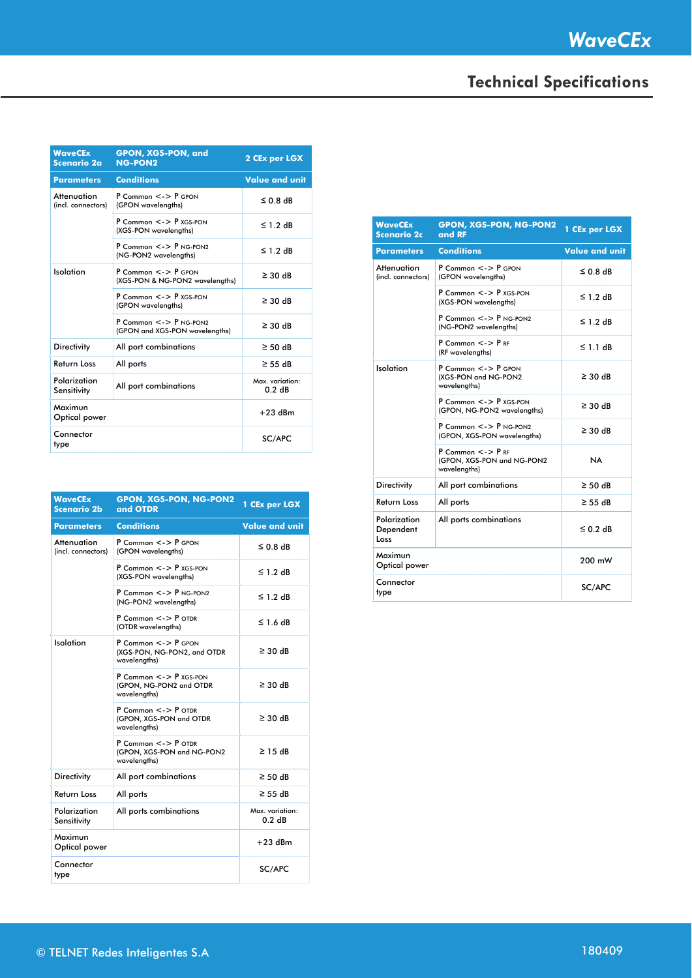| <b>WaveCEx</b><br>Scenario 2a     | <b>GPON, XGS-PON, and</b><br><b>NG-PON2</b>                            | 2 CEx per LGX             |
|-----------------------------------|------------------------------------------------------------------------|---------------------------|
| <b>Parameters</b>                 | <b>Conditions</b>                                                      | <b>Value and unit</b>     |
| Attenuation<br>(incl. connectors) | $P$ Common $\lt$ - $>$ $P$ GPON<br>(GPON wavelengths)                  | $50.8$ dB                 |
|                                   | $P$ Common $\lt$ - $>$ $P$ xGS-PON<br>(XGS-PON wavelengths)            | $\leq$ 1 2 dB             |
|                                   | $P$ Common $\lt$ - $\gt$ $P$ NG-PON2<br>(NG-PON2 wavelengths)          | $\leq$ 1.2 dB             |
| Isolation                         | $P$ Common $\lt$ - $>$ $P$ GPON<br>(XGS-PON & NG-PON2 wavelengths)     | $\geq$ 30 dB              |
|                                   | $P$ Common $\lt$ - $>$ $P$ xGS-PON<br>(GPON wavelengths)               | $\geq$ 30 dB              |
|                                   | $P$ Common $\lt$ - $\gt$ $P$ NG-PON?<br>(GPON and XGS-PON wavelengths) | $\geq$ 30 dB              |
| <b>Directivity</b>                | All port combinations                                                  | $\geq$ 50 dB              |
| <b>Return Loss</b>                | All ports                                                              | $\geq$ 55 dB              |
| Polarization<br>Sensitivity       | All port combinations                                                  | Max. variation:<br>0.2 dB |
| Maximun<br>Optical power          |                                                                        | $+23$ dBm                 |
| Connector<br>type                 |                                                                        | SC/APC                    |

| <b>WaveCEx</b><br><b>Scenario 2b</b> | <b>GPON, XGS-PON, NG-PON2</b><br>and OTDR                                     | 1 CEx per LGX             |
|--------------------------------------|-------------------------------------------------------------------------------|---------------------------|
| Parameters                           | <b>Conditions</b>                                                             | <b>Value and unit</b>     |
| Attenuation<br>(incl. connectors)    | $P$ Common $\lt$ - $>$ $P$ GPON<br>(GPON wavelengths)                         | $\leq 0.8$ dB             |
|                                      | $P$ Common $\lt$ - $\gt$ $P$ xGS-PON<br>(XGS-PON wavelenaths)                 | ≤ 1.2 dB                  |
|                                      | $P$ Common $\lt$ - $>$ $P$ NG-PON2<br>(NG-PON2 wavelenaths)                   | ≤ 1.2 dB                  |
|                                      | $P$ Common $\lt$ - $>$ $P$ OTDR<br>(OTDR wavelengths)                         | ≤ 1.6 dB                  |
| Isolation                            | P Common <-> P GPON<br>(XGS-PON, NG-PON2, and OTDR<br>wavelengths)            | $\geq$ 30 dB              |
|                                      | P Common <-> P XGS-PON<br>(GPON, NG-PON2 and OTDR<br>wavelengths)             | $\geq$ 30 dB              |
|                                      | $P$ Common $\lt$ - $>$ $P$ OTDR<br>(GPON, XGS-PON and OTDR<br>wavelengths)    | $\geq$ 30 dB              |
|                                      | $P$ Common $\lt$ - $>$ $P$ OTDR<br>(GPON, XGS-PON and NG-PON2<br>wavelengths) | $\geq$ 1.5 dB             |
| <b>Directivity</b>                   | All port combinations                                                         | $\geq$ 50 dB              |
| Return Loss                          | All ports                                                                     | $\geq$ 55 dB              |
| Polarization<br>Sensitivity          | All ports combinations                                                        | Max. variation:<br>0.2 dB |
| Maximun<br>Optical power             |                                                                               | $+23$ dBm                 |
| Connector<br>type                    |                                                                               | SC/APC                    |

| <b>WaveCEx</b><br><b>Scenario 2c</b> | <b>GPON, XGS-PON, NG-PON2</b><br>and RF                                       | 1 CEx per LGX         |
|--------------------------------------|-------------------------------------------------------------------------------|-----------------------|
| <b>Parameters</b>                    | <b>Conditions</b>                                                             | <b>Value and unit</b> |
| Attenuation<br>(incl. connectors)    | $P$ Common $\lt$ - $>$ $P$ GPON<br>(GPON wavelengths)                         | $\leq$ 0.8 dB         |
|                                      | $P$ Common $\lt$ - $\gt$ $P$ xGS-PON<br>(XGS-PON wavelenaths)                 | $\leq$ 1 2 dB         |
|                                      | $P$ Common $\lt$ - $\gt$ $P$ NG-PON2<br>(NG-PON2 wavelengths)                 | $\leq$ 1 2 dB         |
|                                      | $P$ Common $\lt$ - $\gt$ $P$ RF<br>(RF wavelenaths)                           | ≤ 1 1 dB              |
| Isolation                            | $P$ Common $\lt$ - $>$ $P$ GPON<br>(XGS-PON and NG-PON2<br>wavelengths)       | $\geq$ 30 dB          |
|                                      | $P$ Common $\lt$ - $\gt$ $P$ xGS-PON<br>(GPON, NG-PON2 wavelengths)           | $\geq$ 30 dB          |
|                                      | $P$ Common $\lt$ - $\gt$ $P$ NG-PON2<br>(GPON, XGS-PON wavelengths)           | $\geq$ 30 dB          |
|                                      | $P$ Common $\lt$ - $\gt$ $P$ RF<br>(GPON, XGS-PON and NG-PON2<br>wavelengths) | NA.                   |
| <b>Directivity</b>                   | All port combinations                                                         | $\geq$ 50 dB          |
| Return Loss                          | All ports                                                                     | $\geq$ 55 dB          |
| Polarization<br>Dependent<br>Loss    | All ports combinations                                                        | $\leq 0.2$ dB         |
| Maximun<br>Optical power             |                                                                               | 200 mW                |
| Connector<br>type                    |                                                                               | SC/APC                |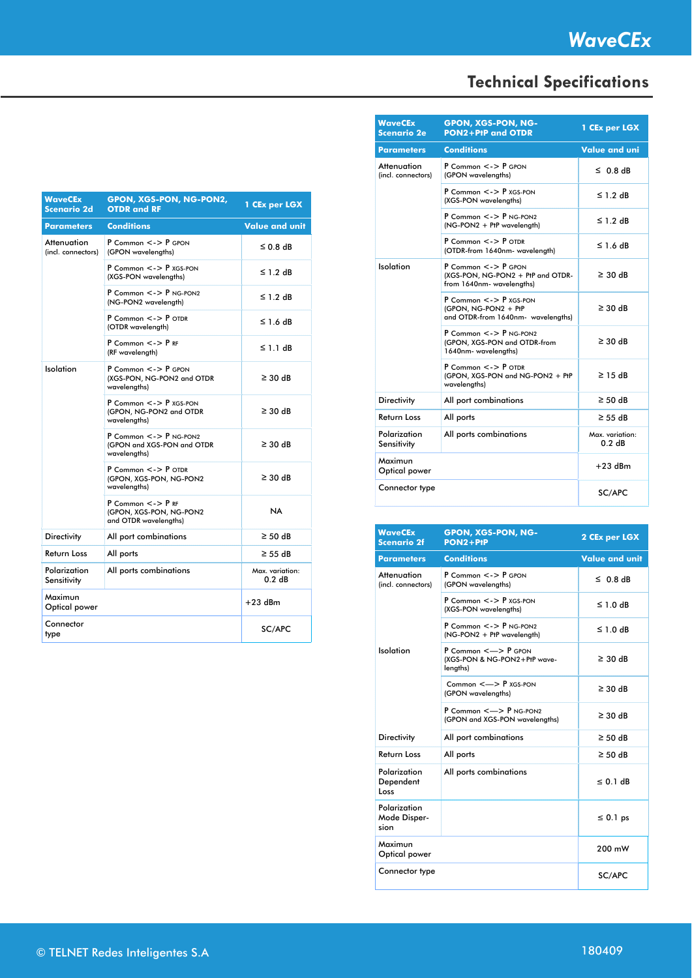| <b>WaveCEx</b><br><b>Scenario 2d</b> | GPON, XGS-PON, NG-PON2,<br><b>OTDR</b> and RF                                 | 1 CEx per LGX             |
|--------------------------------------|-------------------------------------------------------------------------------|---------------------------|
| <b>Parameters</b>                    | <b>Conditions</b>                                                             | <b>Value and unit</b>     |
| Attenuation<br>(incl. connectors)    | $P$ Common $\lt$ - $>$ $P$ GPON<br>(GPON wavelengths)                         | $\leq$ 0.8 dB             |
|                                      | $P$ Common $\lt$ - $\gt$ P xGS-PON<br>(XGS-PON wavelengths)                   | $\leq$ 1.2 dB             |
|                                      | $P$ Common $\lt$ - $>$ $P$ NG-PON2<br>(NG-PON2 wavelength)                    | $\leq$ 1.2 dB             |
|                                      | $P$ Common $\lt$ - $>$ $P$ OTDR<br>(OTDR wavelength)                          | $\leq$ 1.6 dB             |
|                                      | $P$ Common $\lt$ - $>$ $P$ RF<br>(RF wavelength)                              | $\leq$ 1.1 dB             |
| Isolation                            | P Common <-> P GPON<br>(XGS-PON, NG-PON2 and OTDR<br>wavelengths)             | $\geq$ 30 dB              |
|                                      | $P$ Common $\lt$ - > $P$ xGS-PON<br>(GPON, NG-PON2 and OTDR<br>wavelengths)   | $\geq$ 30 dB              |
|                                      | P Common <-> P NG-PON2<br>(GPON and XGS-PON and OTDR<br>wavelengths)          | $\geq$ 30 dB              |
|                                      | P Common <-> P OTDR<br>(GPON, XGS-PON, NG-PON2<br>wavelengths)                | $\geq$ 30 dB              |
|                                      | P Common $\lt$ - $>$ P RF<br>(GPON, XGS-PON, NG-PON2<br>and OTDR wavelengths) | <b>NA</b>                 |
| <b>Directivity</b>                   | All port combinations                                                         | $\geq$ 50 dB              |
| <b>Return Loss</b>                   | All ports                                                                     | $\geq$ 55 dB              |
| Polarization<br>Sensitivity          | All ports combinations                                                        | Max. variation:<br>0.2 dB |
| Maximun<br>Optical power             |                                                                               | $+23$ dBm                 |
| Connector<br>type                    |                                                                               | SC/APC                    |

| <b>WaveCEx</b><br><b>Scenario 2e</b> | <b>GPON, XGS-PON, NG-</b><br>PON2+PtP and OTDR                                                     | 1 CEx per LGX             |
|--------------------------------------|----------------------------------------------------------------------------------------------------|---------------------------|
| <b>Parameters</b>                    | <b>Conditions</b>                                                                                  | <b>Value and uni</b>      |
| Attenuation<br>(incl. connectors)    | $P$ Common $\lt$ - $\gt$ $P$ GPON<br>(GPON wavelengths)                                            | $\leq$ 0.8 dB             |
|                                      | P Common $\lt$ - > P xGS-PON<br>(XGS-PON wavelengths)                                              | $\leq$ 1.2 dB             |
|                                      | $P$ Common $\lt$ - $\gt$ $P$ NG-PON2<br>(NG-PON2 + PtP wavelength)                                 | $\leq$ 1.2 dB             |
|                                      | P Common <-> P OTDR<br>(OTDR-from 1640nm- wavelength)                                              | ≤ 1.6 dB                  |
| Isolation                            | P Common <-> P GPON<br>(XGS-PON, NG-PON2 + PtP and OTDR-<br>from 1640nm- wavelengths)              | $\geq$ 30 dB              |
|                                      | $P$ Common $\lt$ - $\gt$ $P$ xGS-PON<br>(GPON, NG-PON2 + PtP<br>and OTDR-from 1640nm- wavelengths) | $\geq$ 30 dB              |
|                                      | $P$ Common $\lt$ - $\gt$ $P$ NG-PON2<br>(GPON, XGS-PON and OTDR-from<br>1640nm- wavelengths)       | $\geq$ 30 dB              |
|                                      | $P$ Common $\lt$ - $>$ $P$ OTDR<br>(GPON, XGS-PON and NG-PON2 + PtP<br>wavelengths)                | $\geq$ 15 dB              |
| <b>Directivity</b>                   | All port combinations                                                                              | $\geq$ 50 dB              |
| Return Loss                          | All ports                                                                                          | $\geq$ 55 dB              |
| Polarization<br>Sensitivity          | All ports combinations                                                                             | Max. variation:<br>0.2 dB |
| Maximun<br>Optical power             |                                                                                                    | $+23$ dBm                 |
| Connector type                       |                                                                                                    | SC/APC                    |

| <b>WaveCEx</b><br><b>Scenario 2f</b> | <b>GPON, XGS-PON, NG-</b><br>$PON2 + P1P$                                     | 2 CEx per LGX         |
|--------------------------------------|-------------------------------------------------------------------------------|-----------------------|
| <b>Parameters</b>                    | <b>Conditions</b>                                                             | <b>Value and unit</b> |
| Attenuation<br>(incl. connectors)    | $P_{\text{Common}} \leq P_{\text{GPON}}$<br>(GPON wavelengths)                | $\leq$ 0.8 dB         |
|                                      | $P$ Common $\lt$ - $>$ $P$ xGS-PON<br>(XGS-PON wavelengths)                   | $\leq$ 1.0 dB         |
|                                      | $P$ Common $\lt$ - $\gt$ $P$ NG-PON2<br>(NG-PON2 + PtP wavelength)            | $\leq$ 1.0 dB         |
| Isolation                            | P Common <-> P GPON<br>(XGS-PON & NG-PON2+PtP wave-<br>lengths)               | $\geq$ 30 dB          |
|                                      | Common $\leq$ $\Rightarrow$ P xGS-PON<br>(GPON wavelengths)                   | $\geq$ 30 dB          |
|                                      | $P$ Common $\leq$ $\Rightarrow$ $P$ NG-PON2<br>(GPON and XGS-PON wavelengths) | $\geq$ 30 dB          |
| <b>Directivity</b>                   | All port combinations                                                         | $\geq$ 50 dB          |
| <b>Return Loss</b>                   | All ports                                                                     | $\geq$ 50 dB          |
| Polarization<br>Dependent<br>Loss    | All ports combinations                                                        | $\leq$ 0.1 dB         |
| Polarization<br>Mode Disper-<br>sion |                                                                               | $\leq 0.1$ ps         |
| Maximun<br>Optical power             |                                                                               | 200 mW                |
| Connector type                       |                                                                               | SC/APC                |